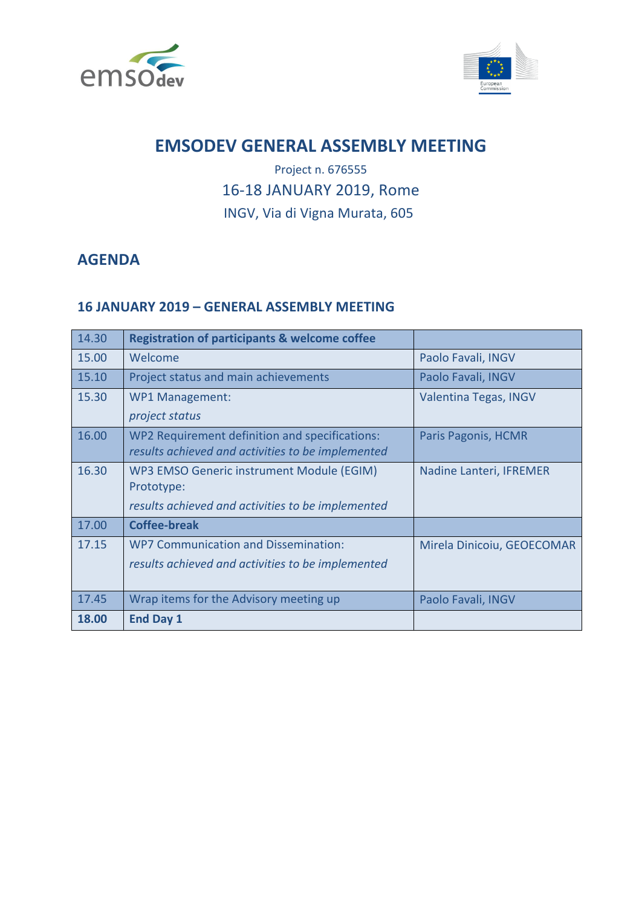



# **EMSODEV GENERAL ASSEMBLY MEETING**

## Project n. 676555 16-18 JANUARY 2019, Rome INGV, Via di Vigna Murata, 605

### **AGENDA**

#### **16 JANUARY 2019 – GENERAL ASSEMBLY MEETING**

| 14.30 | <b>Registration of participants &amp; welcome coffee</b> |                            |
|-------|----------------------------------------------------------|----------------------------|
| 15.00 | Welcome                                                  | Paolo Favali, INGV         |
| 15.10 | Project status and main achievements                     | Paolo Favali, INGV         |
| 15.30 | <b>WP1 Management:</b>                                   | Valentina Tegas, INGV      |
|       | project status                                           |                            |
| 16.00 | WP2 Requirement definition and specifications:           | Paris Pagonis, HCMR        |
|       | results achieved and activities to be implemented        |                            |
| 16.30 | WP3 EMSO Generic instrument Module (EGIM)                | Nadine Lanteri, IFREMER    |
|       | Prototype:                                               |                            |
|       | results achieved and activities to be implemented        |                            |
| 17.00 | <b>Coffee-break</b>                                      |                            |
| 17.15 | <b>WP7 Communication and Dissemination:</b>              | Mirela Dinicoiu, GEOECOMAR |
|       | results achieved and activities to be implemented        |                            |
|       |                                                          |                            |
| 17.45 | Wrap items for the Advisory meeting up                   | Paolo Favali, INGV         |
| 18.00 | <b>End Day 1</b>                                         |                            |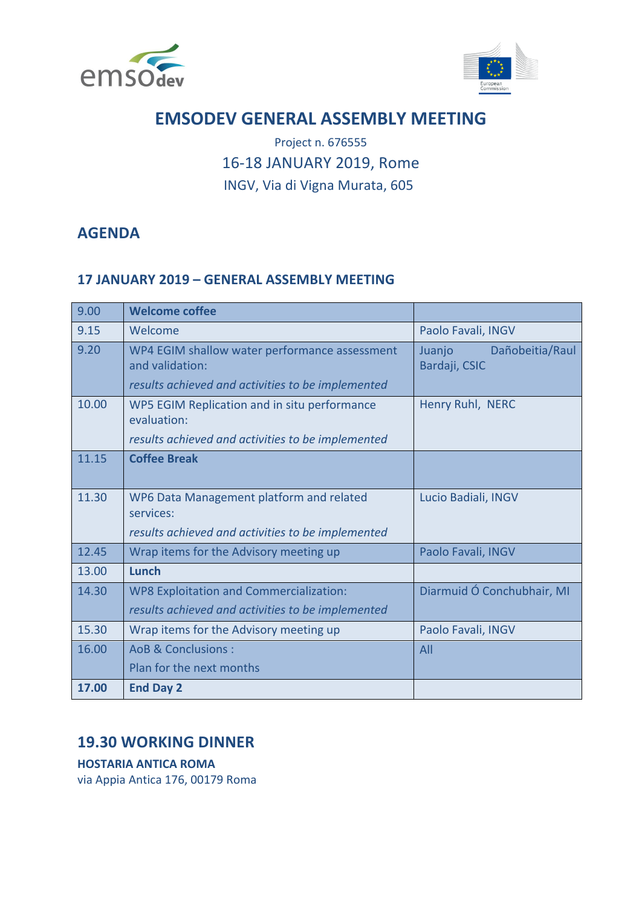



# **EMSODEV GENERAL ASSEMBLY MEETING**

## Project n. 676555 16-18 JANUARY 2019, Rome INGV, Via di Vigna Murata, 605

### **AGENDA**

#### **17 JANUARY 2019 – GENERAL ASSEMBLY MEETING**

| 9.00  | <b>Welcome coffee</b>                                                                                                 |                                            |
|-------|-----------------------------------------------------------------------------------------------------------------------|--------------------------------------------|
| 9.15  | Welcome                                                                                                               | Paolo Favali, INGV                         |
| 9.20  | WP4 EGIM shallow water performance assessment<br>and validation:<br>results achieved and activities to be implemented | Dañobeitia/Raul<br>Juanjo<br>Bardaji, CSIC |
| 10.00 | WP5 EGIM Replication and in situ performance<br>evaluation:<br>results achieved and activities to be implemented      | Henry Ruhl, NERC                           |
| 11.15 | <b>Coffee Break</b>                                                                                                   |                                            |
| 11.30 | WP6 Data Management platform and related<br>services:<br>results achieved and activities to be implemented            | Lucio Badiali, INGV                        |
| 12.45 | Wrap items for the Advisory meeting up                                                                                | Paolo Favali, INGV                         |
| 13.00 | Lunch                                                                                                                 |                                            |
| 14.30 | <b>WP8 Exploitation and Commercialization:</b><br>results achieved and activities to be implemented                   | Diarmuid Ó Conchubhair, MI                 |
| 15.30 | Wrap items for the Advisory meeting up                                                                                | Paolo Favali, INGV                         |
| 16.00 | AoB & Conclusions:<br>Plan for the next months                                                                        | All                                        |
| 17.00 | <b>End Day 2</b>                                                                                                      |                                            |
|       |                                                                                                                       |                                            |

#### **19.30 WORKING DINNER**

**HOSTARIA ANTICA ROMA** 

via Appia Antica 176, 00179 Roma